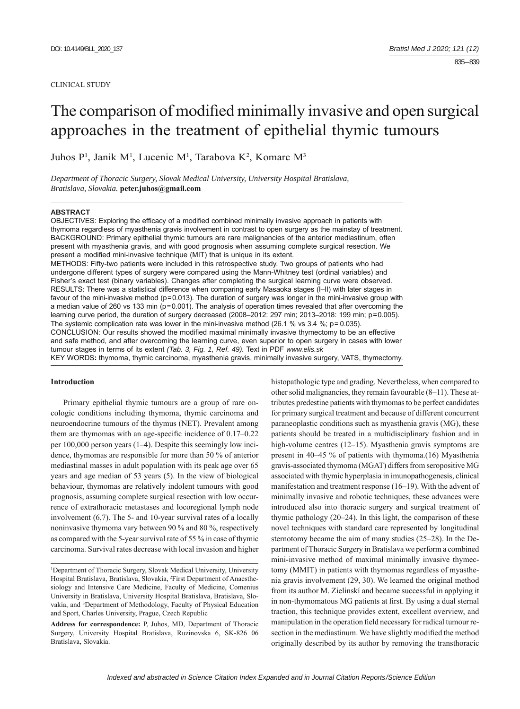### CLINICAL STUDY

# The comparison of modified minimally invasive and open surgical approaches in the treatment of epithelial thymic tumours

Juhos P<sup>1</sup>, Janik M<sup>1</sup>, Lucenic M<sup>1</sup>, Tarabova K<sup>2</sup>, Komarc M<sup>3</sup>

*Department of Thoracic Surgery, Slovak Medical University, University Hospital Bratislava, Bratislava, Slovakia.* **peter.juhos@gmail.com**

#### **ABSTRACT**

OBJECTIVES: Exploring the efficacy of a modified combined minimally invasive approach in patients with thymoma regardless of myasthenia gravis involvement in contrast to open surgery as the mainstay of treatment. BACKGROUND: Primary epithelial thymic tumours are rare malignancies of the anterior mediastinum, often present with myasthenia gravis, and with good prognosis when assuming complete surgical resection. We present a modified mini-invasive technique (MIT) that is unique in its extent. METHODS: Fifty-two patients were included in this retrospective study. Two groups of patients who had undergone different types of surgery were compared using the Mann-Whitney test (ordinal variables) and Fisher's exact test (binary variables). Changes after completing the surgical learning curve were observed. RESULTS: There was a statistical difference when comparing early Masaoka stages (I-II) with later stages in favour of the mini-invasive method ( $p=0.013$ ). The duration of surgery was longer in the mini-invasive group with a median value of 260 vs 133 min (p=0.001). The analysis of operation times revealed that after overcoming the learning curve period, the duration of surgery decreased (2008–2012: 297 min; 2013–2018: 199 min; p=0.005). The systemic complication rate was lower in the mini-invasive method (26.1 % vs 3.4 %;  $p = 0.035$ ). CONCLUSION: Our results showed the modified maximal minimally invasive thymectomy to be an effective and safe method, and after overcoming the learning curve, even superior to open surgery in cases with lower tumour stages in terms of its extent *(Tab. 3, Fig. 1, Ref. 49).* Text in PDF *www.elis.sk* KEY WORDS**:** thymoma, thymic carcinoma, myasthenia gravis, minimally invasive surgery, VATS, thymectomy.

## **Introduction**

Primary epithelial thymic tumours are a group of rare oncologic conditions including thymoma, thymic carcinoma and neuroendocrine tumours of the thymus (NET). Prevalent among them are thymomas with an age-specific incidence of  $0.17-0.22$ per 100,000 person years (1‒4). Despite this seemingly low incidence, thymomas are responsible for more than 50 % of anterior mediastinal masses in adult population with its peak age over 65 years and age median of 53 years (5). In the view of biological behaviour, thymomas are relatively indolent tumours with good prognosis, assuming complete surgical resection with low occurrence of extrathoracic metastases and locoregional lymph node involvement (6,7). The 5- and 10-year survival rates of a locally noninvasive thymoma vary between 90 % and 80 %, respectively as compared with the 5-year survival rate of 55 % in case of thymic carcinoma. Survival rates decrease with local invasion and higher

histopathologic type and grading. Nevertheless, when compared to other solid malignancies, they remain favourable  $(8-11)$ . These attributes predestine patients with thymomas to be perfect candidates for primary surgical treatment and because of different concurrent paraneoplastic conditions such as myasthenia gravis (MG), these patients should be treated in a multidisciplinary fashion and in high-volume centres (12–15). Myasthenia gravis symptoms are present in 40‒45 % of patients with thymoma.(16) Myasthenia gravis-associated thymoma (MGAT) differs from seropositive MG associated with thymic hyperplasia in imunopathogenesis, clinical manifestation and treatment response (16–19). With the advent of minimally invasive and robotic techniques, these advances were introduced also into thoracic surgery and surgical treatment of thymic pathology (20‒24). In this light, the comparison of these novel techniques with standard care represented by longitudinal sternotomy became the aim of many studies (25–28). In the Department of Thoracic Surgery in Bratislava we perform a combined mini-invasive method of maximal minimally invasive thymectomy (MMIT) in patients with thymomas regardless of myasthenia gravis involvement (29, 30). We learned the original method from its author M. Zielinskí and became successful in applying it in non-thymomatous MG patients at first. By using a dual sternal traction, this technique provides extent, excellent overview, and manipulation in the operation field necessary for radical tumour resection in the mediastinum. We have slightly modified the method originally described by its author by removing the transthoracic

<sup>1</sup> Department of Thoracic Surgery, Slovak Medical University, University Hospital Bratislava, Bratislava, Slovakia, 2 First Department of Anaesthesiology and Intensive Care Medicine, Faculty of Medicine, Comenius University in Bratislava, University Hospital Bratislava, Bratislava, Slovakia, and <sup>3</sup>Department of Methodology, Faculty of Physical Education and Sport, Charles University, Prague, Czech Republic

**Address for correspondence:** P, Juhos, MD, Department of Thoracic Surgery, University Hospital Bratislava, Ruzinovska 6, SK-826 06 Bratislava, Slovakia.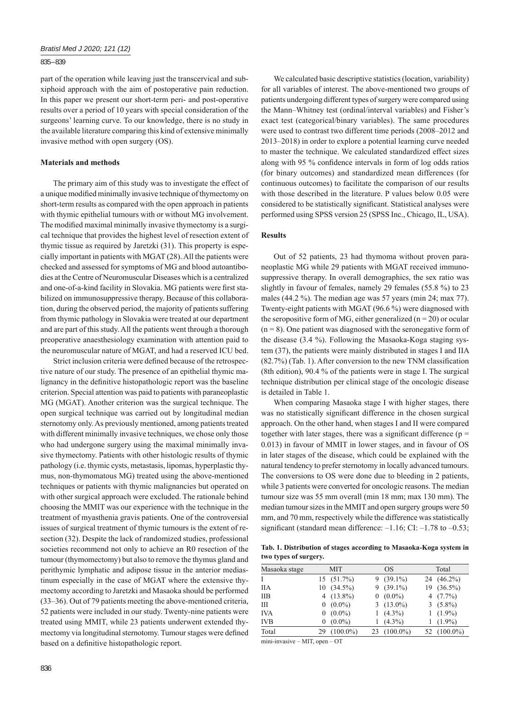## 835 – 839

part of the operation while leaving just the transcervical and subxiphoid approach with the aim of postoperative pain reduction. In this paper we present our short-term peri- and post-operative results over a period of 10 years with special consideration of the surgeons' learning curve. To our knowledge, there is no study in the available literature comparing this kind of extensive minimally invasive method with open surgery (OS).

#### **Materials and methods**

The primary aim of this study was to investigate the effect of a unique modified minimally invasive technique of thymectomy on short-term results as compared with the open approach in patients with thymic epithelial tumours with or without MG involvement. The modified maximal minimally invasive thymectomy is a surgical technique that provides the highest level of resection extent of thymic tissue as required by Jaretzki (31). This property is especially important in patients with MGAT (28). All the patients were checked and assessed for symptoms of MG and blood autoantibodies at the Centre of Neuromuscular Diseases which is a centralized and one-of-a-kind facility in Slovakia. MG patients were first stabilized on immunosuppressive therapy. Because of this collaboration, during the observed period, the majority of patients suffering from thymic pathology in Slovakia were treated at our department and are part of this study. All the patients went through a thorough preoperative anaesthesiology examination with attention paid to the neuromuscular nature of MGAT, and had a reserved ICU bed.

Strict inclusion criteria were defined because of the retrospective nature of our study. The presence of an epithelial thymic malignancy in the definitive histopathologic report was the baseline criterion. Special attention was paid to patients with paraneoplastic MG (MGAT). Another criterion was the surgical technique. The open surgical technique was carried out by longitudinal median sternotomy only. As previously mentioned, among patients treated with different minimally invasive techniques, we chose only those who had undergone surgery using the maximal minimally invasive thymectomy. Patients with other histologic results of thymic pathology (i.e. thymic cysts, metastasis, lipomas, hyperplastic thymus, non-thymomatous MG) treated using the above-mentioned techniques or patients with thymic malignancies but operated on with other surgical approach were excluded. The rationale behind choosing the MMIT was our experience with the technique in the treatment of myasthenia gravis patients. One of the controversial issues of surgical treatment of thymic tumours is the extent of resection (32). Despite the lack of randomized studies, professional societies recommend not only to achieve an R0 resection of the tumour (thymomectomy) but also to remove the thymus gland and perithymic lymphatic and adipose tissue in the anterior mediastinum especially in the case of MGAT where the extensive thymectomy according to Jaretzki and Masaoka should be performed (33‒36). Out of 79 patients meeting the above-mentioned criteria, 52 patients were included in our study. Twenty-nine patients were treated using MMIT, while 23 patients underwent extended thymectomy via longitudinal sternotomy. Tumour stages were defined based on a definitive histopathologic report.

We calculated basic descriptive statistics (location, variability) for all variables of interest. The above-mentioned two groups of patients undergoing different types of surgery were compared using the Mann‒Whitney test (ordinal/interval variables) and Fisher's exact test (categorical/binary variables). The same procedures were used to contrast two different time periods (2008–2012 and 2013‒2018) in order to explore a potential learning curve needed to master the technique. We calculated standardized effect sizes along with 95 % confidence intervals in form of log odds ratios (for binary outcomes) and standardized mean differences (for continuous outcomes) to facilitate the comparison of our results with those described in the literature. P values below 0.05 were considered to be statistically significant. Statistical analyses were performed using SPSS version 25 (SPSS Inc., Chicago, IL, USA).

## **Results**

Out of 52 patients, 23 had thymoma without proven paraneoplastic MG while 29 patients with MGAT received immunosuppressive therapy. In overall demographics, the sex ratio was slightly in favour of females, namely 29 females (55.8 %) to 23 males (44.2 %). The median age was 57 years (min 24; max 77). Twenty-eight patients with MGAT (96.6 %) were diagnosed with the seropositive form of MG, either generalized ( $n = 20$ ) or ocular  $(n = 8)$ . One patient was diagnosed with the seronegative form of the disease (3.4 %). Following the Masaoka-Koga staging system (37), the patients were mainly distributed in stages I and IIA  $(82.7%)$  (Tab. 1). After conversion to the new TNM classification (8th edition), 90.4 % of the patients were in stage I. The surgical technique distribution per clinical stage of the oncologic disease is detailed in Table 1.

When comparing Masaoka stage I with higher stages, there was no statistically significant difference in the chosen surgical approach. On the other hand, when stages I and II were compared together with later stages, there was a significant difference ( $p =$ 0.013) in favour of MMIT in lower stages, and in favour of OS in later stages of the disease, which could be explained with the natural tendency to prefer sternotomy in locally advanced tumours. The conversions to OS were done due to bleeding in 2 patients, while 3 patients were converted for oncologic reasons. The median tumour size was 55 mm overall (min 18 mm; max 130 mm). The median tumour sizes in the MMIT and open surgery groups were 50 mm, and 70 mm, respectively while the difference was statistically significant (standard mean difference:  $-1.16$ ; CI:  $-1.78$  to  $-0.53$ ;

**Tab. 1. Distribution of stages according to Masaoka-Koga system in two types of surgery.**

| Masaoka stage |          | <b>MIT</b>   |     | OS           |    | Total       |
|---------------|----------|--------------|-----|--------------|----|-------------|
|               |          | $15(51.7\%)$ |     | $9(39.1\%)$  |    | 24 (46.2%)  |
| <b>IIA</b>    |          | $10(34.5\%)$ |     | $9(39.1\%)$  |    | 19 (36.5%)  |
| <b>IIB</b>    |          | 4 $(13.8\%)$ |     | $0(0.0\%)$   |    | 4 $(7.7\%)$ |
| Ш             |          | $(0.0\%)$    |     | 3 $(13.0\%)$ |    | $3(5.8\%)$  |
| <b>IVA</b>    | $\Omega$ | $(0.0\%)$    |     | $(4.3\%)$    |    | $1(1.9\%)$  |
| <b>IVB</b>    |          | $(0.0\%)$    |     | $(4.3\%)$    |    | $(1.9\%)$   |
| Total         | 29       | $(100.0\%)$  | 23. | $(100.0\%)$  | 52 | $(100.0\%)$ |

 $mini$ -invasive – MIT, open – OT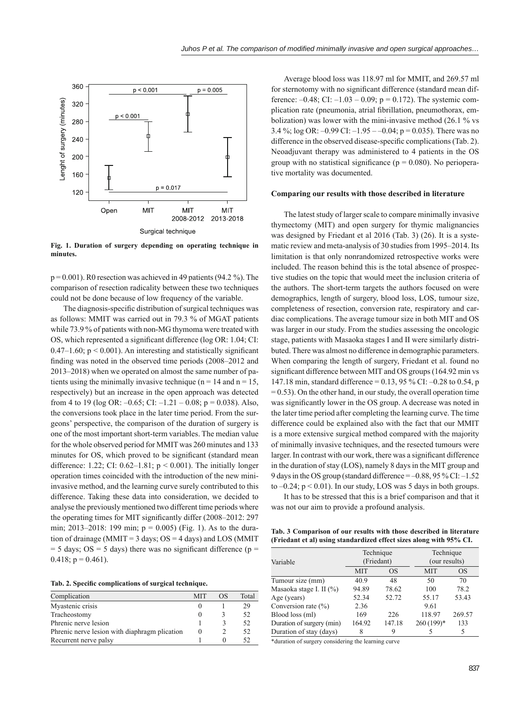

**Fig. 1. Duration of surgery depending on operating technique in minutes.**

 $p = 0.001$ ). R0 resection was achieved in 49 patients (94.2 %). The comparison of resection radicality between these two techniques could not be done because of low frequency of the variable.

The diagnosis-specific distribution of surgical techniques was as follows: MMIT was carried out in 79.3 % of MGAT patients while 73.9 % of patients with non-MG thymoma were treated with OS, which represented a significant difference (log OR: 1.04; CI:  $0.47-1.60$ ;  $p < 0.001$ ). An interesting and statistically significant finding was noted in the observed time periods (2008–2012 and 2013–2018) when we operated on almost the same number of patients using the minimally invasive technique ( $n = 14$  and  $n = 15$ , respectively) but an increase in the open approach was detected from 4 to 19 (log OR:  $-0.65$ ; CI:  $-1.21 - 0.08$ ; p = 0.038). Also, the conversions took place in the later time period. From the surgeons' perspective, the comparison of the duration of surgery is one of the most important short-term variables. The median value for the whole observed period for MMIT was 260 minutes and 133 minutes for OS, which proved to be significant (standard mean difference: 1.22; CI:  $0.62-1.81$ ;  $p \le 0.001$ ). The initially longer operation times coincided with the introduction of the new miniinvasive method, and the learning curve surely contributed to this difference. Taking these data into consideration, we decided to analyse the previously mentioned two different time periods where the operating times for MIT significantly differ  $(2008-2012; 297)$ min; 2013–2018: 199 min;  $p = 0.005$ ) (Fig. 1). As to the duration of drainage (MMIT =  $3$  days; OS =  $4$  days) and LOS (MMIT  $= 5$  days; OS  $= 5$  days) there was no significant difference (p  $=$ 0.418;  $p = 0.461$ ).

|  |  |  | Tab. 2. Specific complications of surgical technique. |
|--|--|--|-------------------------------------------------------|
|  |  |  |                                                       |

| Complication                                  | <b>MIT</b> | OS | Total |
|-----------------------------------------------|------------|----|-------|
| Myastenic crisis                              |            |    | 29    |
| Tracheostomy                                  | $\theta$   |    | 52    |
| Phrenic nerve lesion                          |            |    | 52    |
| Phrenic nerve lesion with diaphragm plication | O          |    | 52    |
| Recurrent nerve palsy                         |            |    |       |

Average blood loss was 118.97 ml for MMIT, and 269.57 ml for sternotomy with no significant difference (standard mean difference:  $-0.48$ ; CI:  $-1.03 - 0.09$ ; p = 0.172). The systemic complication rate (pneumonia, atrial fibrillation, pneumothorax, embolization) was lower with the mini-invasive method (26.1 % vs 3.4 %; log OR:  $-0.99$  CI:  $-1.95 - -0.04$ ; p = 0.035). There was no difference in the observed disease-specific complications (Tab. 2). Neoadjuvant therapy was administered to 4 patients in the OS group with no statistical significance ( $p = 0.080$ ). No perioperative mortality was documented.

#### **Comparing our results with those described in literature**

The latest study of larger scale to compare minimally invasive thymectomy (MIT) and open surgery for thymic malignancies was designed by Friedant et al 2016 (Tab. 3) (26). It is a systematic review and meta-analysis of 30 studies from 1995–2014. Its limitation is that only nonrandomized retrospective works were included. The reason behind this is the total absence of prospective studies on the topic that would meet the inclusion criteria of the authors. The short-term targets the authors focused on were demographics, length of surgery, blood loss, LOS, tumour size, completeness of resection, conversion rate, respiratory and cardiac complications. The average tumour size in both MIT and OS was larger in our study. From the studies assessing the oncologic stage, patients with Masaoka stages I and II were similarly distributed. There was almost no difference in demographic parameters. When comparing the length of surgery, Friedant et al. found no significant difference between MIT and OS groups (164.92 min vs 147.18 min, standard difference = 0.13, 95 % CI: –0.28 to 0.54, p  $= 0.53$ ). On the other hand, in our study, the overall operation time was significantly lower in the OS group. A decrease was noted in the later time period after completing the learning curve. The time difference could be explained also with the fact that our MMIT is a more extensive surgical method compared with the majority of minimally invasive techniques, and the resected tumours were larger. In contrast with our work, there was a significant difference in the duration of stay (LOS), namely 8 days in the MIT group and 9 days in the OS group (standard difference  $=$  -0.88, 95 % CI: -1.52 to  $-0.24$ ;  $p < 0.01$ ). In our study, LOS was 5 days in both groups.

It has to be stressed that this is a brief comparison and that it was not our aim to provide a profound analysis.

**Tab. 3 Comparison of our results with those described in literature (Friedant et al) using standardized effect sizes along with 95% CI.**

| Variable                  |            | Technique<br>(Friedant) | Technique<br>(our results) |        |  |
|---------------------------|------------|-------------------------|----------------------------|--------|--|
|                           | <b>MIT</b> | <b>OS</b>               | <b>MIT</b>                 | OS     |  |
| Tumour size (mm)          | 40.9       | 48                      | 50                         | 70     |  |
| Masaoka stage I. II (%)   | 94.89      | 78.62                   | 100                        | 78.2   |  |
| Age (years)               | 52.34      | 52.72                   | 55.17                      | 53.43  |  |
| Conversion rate $(\% )$   | 2.36       |                         | 9.61                       |        |  |
| Blood loss (ml)           | 169        | 226                     | 118.97                     | 269.57 |  |
| Duration of surgery (min) | 164.92     | 147.18                  | 260 (199)*                 | 133    |  |
| Duration of stay (days)   | 8          | 9                       |                            | 5      |  |

\*duration of surgery considering the learning curve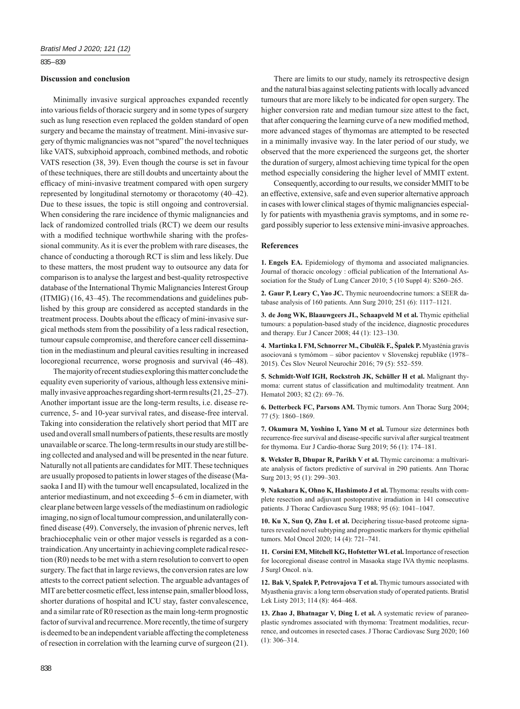## 835 – 839

## **Discussion and conclusion**

Minimally invasive surgical approaches expanded recently into various fields of thoracic surgery and in some types of surgery such as lung resection even replaced the golden standard of open surgery and became the mainstay of treatment. Mini-invasive surgery of thymic malignancies was not "spared" the novel techniques like VATS, subxiphoid approach, combined methods, and robotic VATS resection (38, 39). Even though the course is set in favour of these techniques, there are still doubts and uncertainty about the efficacy of mini-invasive treatment compared with open surgery represented by longitudinal sternotomy or thoracotomy (40‒42). Due to these issues, the topic is still ongoing and controversial. When considering the rare incidence of thymic malignancies and lack of randomized controlled trials (RCT) we deem our results with a modified technique worthwhile sharing with the professional community. As it is ever the problem with rare diseases, the chance of conducting a thorough RCT is slim and less likely. Due to these matters, the most prudent way to outsource any data for comparison is to analyse the largest and best-quality retrospective database of the International Thymic Malignancies Interest Group  $(ITMIG)$   $(16, 43-45)$ . The recommendations and guidelines published by this group are considered as accepted standards in the treatment process. Doubts about the efficacy of mini-invasive surgical methods stem from the possibility of a less radical resection, tumour capsule compromise, and therefore cancer cell dissemination in the mediastinum and pleural cavities resulting in increased locoregional recurrence, worse prognosis and survival  $(46-48)$ .

The majority of recent studies exploring this matter conclude the equality even superiority of various, although less extensive minimally invasive approaches regarding short-term results (21, 25–27). Another important issue are the long-term results, i.e. disease recurrence, 5- and 10-year survival rates, and disease-free interval. Taking into consideration the relatively short period that MIT are used and overall small numbers of patients, these results are mostly unavailable or scarce. The long-term results in our study are still being collected and analysed and will be presented in the near future. Naturally not all patients are candidates for MIT. These techniques are usually proposed to patients in lower stages of the disease (Masaoka I and II) with the tumour well encapsulated, localized in the anterior mediastinum, and not exceeding 5–6 cm in diameter, with clear plane between large vessels of the mediastinum on radiologic imaging, no sign of local tumour compression, and unilaterally confined disease (49). Conversely, the invasion of phrenic nerves, left brachiocephalic vein or other major vessels is regarded as a contraindication. Any uncertainty in achieving complete radical resection (R0) needs to be met with a stern resolution to convert to open surgery. The fact that in large reviews, the conversion rates are low attests to the correct patient selection. The arguable advantages of MIT are better cosmetic effect, less intense pain, smaller blood loss, shorter durations of hospital and ICU stay, faster convalescence, and a similar rate of R0 resection as the main long-term prognostic factor of survival and recurrence. More recently, the time of surgery is deemed to be an independent variable affecting the completeness of resection in correlation with the learning curve of surgeon (21).

There are limits to our study, namely its retrospective design and the natural bias against selecting patients with locally advanced tumours that are more likely to be indicated for open surgery. The higher conversion rate and median tumour size attest to the fact, that after conquering the learning curve of a new modified method, more advanced stages of thymomas are attempted to be resected in a minimally invasive way. In the later period of our study, we observed that the more experienced the surgeons get, the shorter the duration of surgery, almost achieving time typical for the open method especially considering the higher level of MMIT extent.

Consequently, according to our results, we consider MMIT to be an effective, extensive, safe and even superior alternative approach in cases with lower clinical stages of thymic malignancies especially for patients with myasthenia gravis symptoms, and in some regard possibly superior to less extensive mini-invasive approaches.

### **References**

**1. Engels EA.** Epidemiology of thymoma and associated malignancies. Journal of thoracic oncology : official publication of the International Association for the Study of Lung Cancer 2010; 5 (10 Suppl 4): S260-265.

**2. Gaur P, Leary C, Yao JC.** Thymic neuroendocrine tumors: a SEER database analysis of 160 patients. Ann Surg 2010; 251 (6): 1117-1121.

**3. de Jong WK, Blaauwgeers JL, Schaapveld M et al.** Thymic epithelial tumours: a population-based study of the incidence, diagnostic procedures and therapy. Eur J Cancer 2008; 44 (1): 123-130.

**4. Martinka I. FM, Schnorrer M., Cibulčík F., Špalek P.** Myasténia gravis asociovaná s tymómom – súbor pacientov v Slovenskej republike (1978– 2015). Čes Slov Neurol Neurochir 2016; 79 (5): 552‒559.

**5. Schmidt-Wolf IGH, Rockstroh JK, Schüller H et al.** Malignant thymoma: current status of classification and multimodality treatment. Ann Hematol 2003; 82 (2): 69-76.

**6. Detterbeck FC, Parsons AM.** Thymic tumors. Ann Thorac Surg 2004; 77 (5): 1860‒1869.

**7. Okumura M, Yoshino I, Yano M et al.** Tumour size determines both recurrence-free survival and disease-specific survival after surgical treatment for thymoma. Eur J Cardio-thorac Surg 2019; 56 (1): 174-181.

**8. Weksler B, Dhupar R, Parikh V et al.** Thymic carcinoma: a multivariate analysis of factors predictive of survival in 290 patients. Ann Thorac Surg 2013; 95 (1): 299-303.

**9. Nakahara K, Ohno K, Hashimoto J et al.** Thymoma: results with complete resection and adjuvant postoperative irradiation in 141 consecutive patients. J Thorac Cardiovascu Surg 1988; 95 (6): 1041-1047.

**10. Ku X, Sun Q, Zhu L et al.** Deciphering tissue-based proteome signatures revealed novel subtyping and prognostic markers for thymic epithelial tumors. Mol Oncol 2020; 14 (4): 721-741.

**11. Corsini EM, Mitchell KG, Hofstetter WL et al.** Importance of resection for locoregional disease control in Masaoka stage IVA thymic neoplasms. J Surgl Oncol. n/a.

**12. Bak V, Spalek P, Petrovajova T et al.** Thymic tumours associated with Myasthenia gravis: a long term observation study of operated patients. Bratisl Lek Listy 2013; 114 (8): 464-468.

**13. Zhao J, Bhatnagar V, Ding L et al.** A systematic review of paraneoplastic syndromes associated with thymoma: Treatment modalities, recurrence, and outcomes in resected cases. J Thorac Cardiovasc Surg 2020; 160  $(1): 306 - 314.$